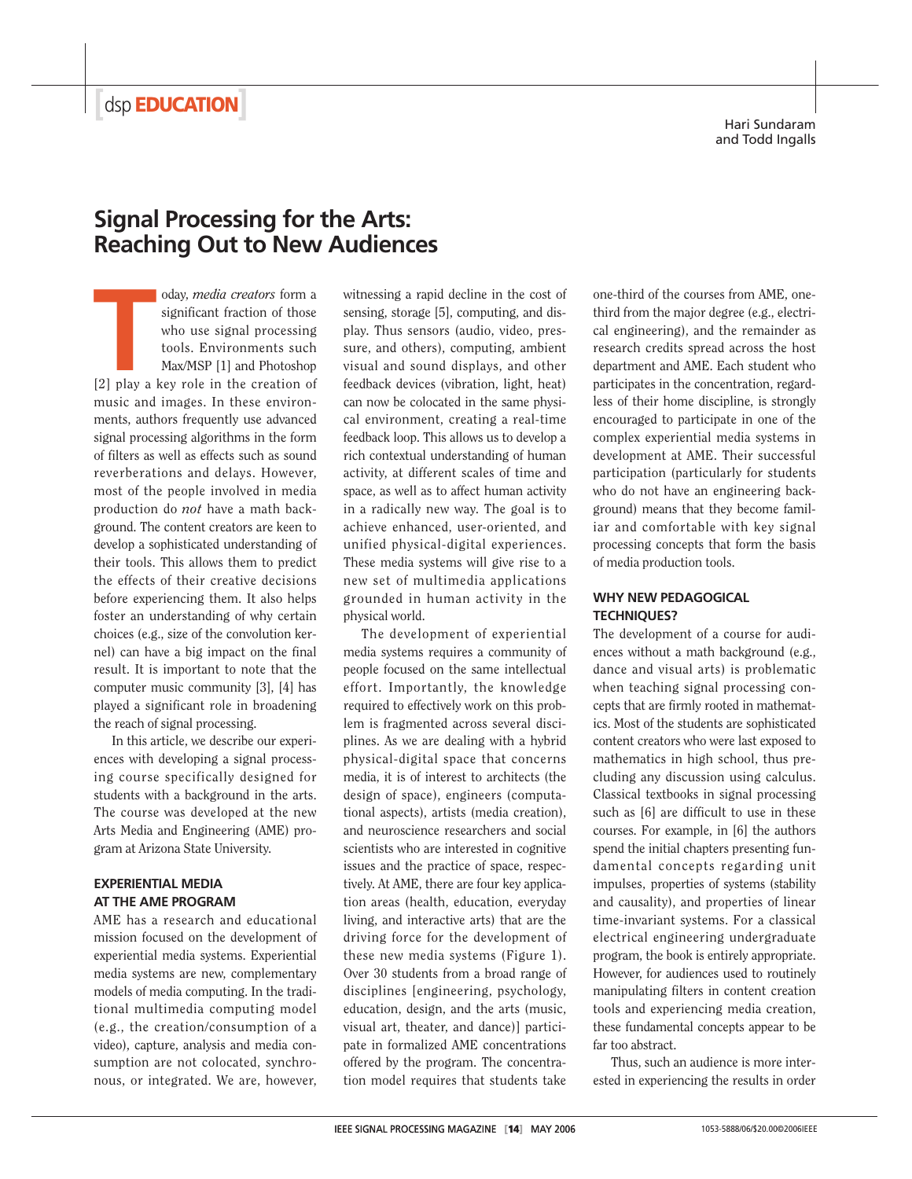# **Signal Processing for the Arts: Reaching Out to New Audiences**

**THE TERM** poday, *media creators* form a significant fraction of those who use signal processing tools. Environments such Max/MSP [1] and Photoshop [2] play a key role in the creation of oday, *media creators* form a significant fraction of those who use signal processing tools. Environments such Max/MSP [1] and Photoshop music and images. In these environments, authors frequently use advanced signal processing algorithms in the form of filters as well as effects such as sound reverberations and delays. However, most of the people involved in media production do *not* have a math background. The content creators are keen to develop a sophisticated understanding of their tools. This allows them to predict the effects of their creative decisions before experiencing them. It also helps foster an understanding of why certain choices (e.g., size of the convolution kernel) can have a big impact on the final result. It is important to note that the computer music community [3], [4] has played a significant role in broadening the reach of signal processing.

In this article, we describe our experiences with developing a signal processing course specifically designed for students with a background in the arts. The course was developed at the new Arts Media and Engineering (AME) program at Arizona State University.

## **EXPERIENTIAL MEDIA AT THE AME PROGRAM**

AME has a research and educational mission focused on the development of experiential media systems. Experiential media systems are new, complementary models of media computing. In the traditional multimedia computing model (e.g., the creation/consumption of a video), capture, analysis and media consumption are not colocated, synchronous, or integrated. We are, however, witnessing a rapid decline in the cost of sensing, storage [5], computing, and display. Thus sensors (audio, video, pressure, and others), computing, ambient visual and sound displays, and other feedback devices (vibration, light, heat) can now be colocated in the same physical environment, creating a real-time feedback loop. This allows us to develop a rich contextual understanding of human activity, at different scales of time and space, as well as to affect human activity in a radically new way. The goal is to achieve enhanced, user-oriented, and unified physical-digital experiences. These media systems will give rise to a new set of multimedia applications grounded in human activity in the physical world.

The development of experiential media systems requires a community of people focused on the same intellectual effort. Importantly, the knowledge required to effectively work on this problem is fragmented across several disciplines. As we are dealing with a hybrid physical-digital space that concerns media, it is of interest to architects (the design of space), engineers (computational aspects), artists (media creation), and neuroscience researchers and social scientists who are interested in cognitive issues and the practice of space, respectively. At AME, there are four key application areas (health, education, everyday living, and interactive arts) that are the driving force for the development of these new media systems (Figure 1). Over 30 students from a broad range of disciplines [engineering, psychology, education, design, and the arts (music, visual art, theater, and dance)] participate in formalized AME concentrations offered by the program. The concentration model requires that students take one-third of the courses from AME, onethird from the major degree (e.g., electrical engineering), and the remainder as research credits spread across the host department and AME. Each student who participates in the concentration, regardless of their home discipline, is strongly encouraged to participate in one of the complex experiential media systems in development at AME. Their successful participation (particularly for students who do not have an engineering background) means that they become familiar and comfortable with key signal processing concepts that form the basis of media production tools.

# **WHY NEW PEDAGOGICAL TECHNIQUES?**

The development of a course for audiences without a math background (e.g., dance and visual arts) is problematic when teaching signal processing concepts that are firmly rooted in mathematics. Most of the students are sophisticated content creators who were last exposed to mathematics in high school, thus precluding any discussion using calculus. Classical textbooks in signal processing such as [6] are difficult to use in these courses. For example, in [6] the authors spend the initial chapters presenting fundamental concepts regarding unit impulses, properties of systems (stability and causality), and properties of linear time-invariant systems. For a classical electrical engineering undergraduate program, the book is entirely appropriate. However, for audiences used to routinely manipulating filters in content creation tools and experiencing media creation, these fundamental concepts appear to be far too abstract.

Thus, such an audience is more interested in experiencing the results in order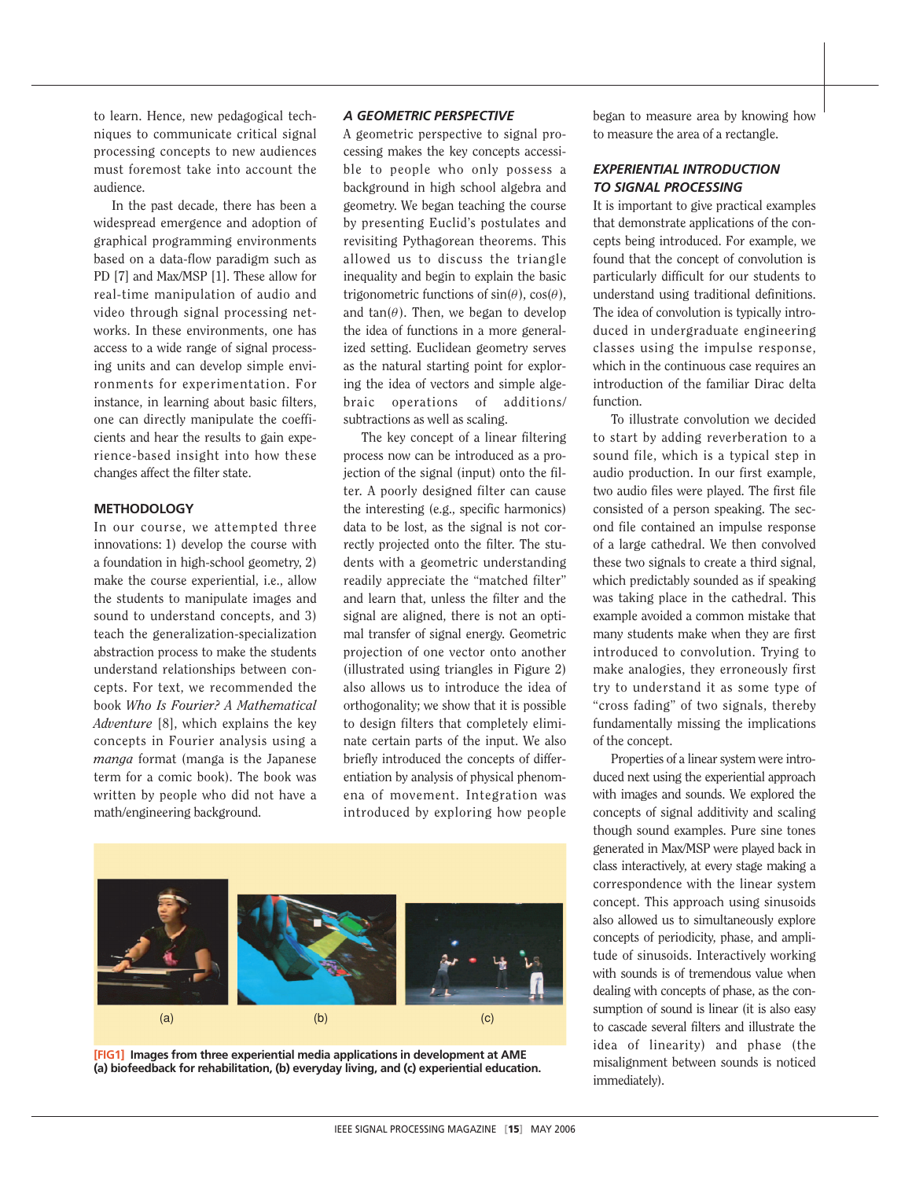to learn. Hence, new pedagogical techniques to communicate critical signal processing concepts to new audiences must foremost take into account the audience.

In the past decade, there has been a widespread emergence and adoption of graphical programming environments based on a data-flow paradigm such as PD [7] and Max/MSP [1]. These allow for real-time manipulation of audio and video through signal processing networks. In these environments, one has access to a wide range of signal processing units and can develop simple environments for experimentation. For instance, in learning about basic filters, one can directly manipulate the coefficients and hear the results to gain experience-based insight into how these changes affect the filter state.

#### **METHODOLOGY**

In our course, we attempted three innovations: 1) develop the course with a foundation in high-school geometry, 2) make the course experiential, i.e., allow the students to manipulate images and sound to understand concepts, and 3) teach the generalization-specialization abstraction process to make the students understand relationships between concepts. For text, we recommended the book *Who Is Fourier? A Mathematical Adventure* [8], which explains the key concepts in Fourier analysis using a *manga* format (manga is the Japanese term for a comic book). The book was written by people who did not have a math/engineering background.

#### *A GEOMETRIC PERSPECTIVE*

A geometric perspective to signal processing makes the key concepts accessible to people who only possess a background in high school algebra and geometry. We began teaching the course by presenting Euclid's postulates and revisiting Pythagorean theorems. This allowed us to discuss the triangle inequality and begin to explain the basic trigonometric functions of  $sin(\theta)$ ,  $cos(\theta)$ , and tan( $\theta$ ). Then, we began to develop the idea of functions in a more generalized setting. Euclidean geometry serves as the natural starting point for exploring the idea of vectors and simple algebraic operations of additions/ subtractions as well as scaling.

The key concept of a linear filtering process now can be introduced as a projection of the signal (input) onto the filter. A poorly designed filter can cause the interesting (e.g., specific harmonics) data to be lost, as the signal is not correctly projected onto the filter. The students with a geometric understanding readily appreciate the "matched filter" and learn that, unless the filter and the signal are aligned, there is not an optimal transfer of signal energy. Geometric projection of one vector onto another (illustrated using triangles in Figure 2) also allows us to introduce the idea of orthogonality; we show that it is possible to design filters that completely eliminate certain parts of the input. We also briefly introduced the concepts of differentiation by analysis of physical phenomena of movement. Integration was introduced by exploring how people



**[FIG1] Images from three experiential media applications in development at AME (a) biofeedback for rehabilitation, (b) everyday living, and (c) experiential education.**

began to measure area by knowing how to measure the area of a rectangle.

#### *EXPERIENTIAL INTRODUCTION TO SIGNAL PROCESSING*

It is important to give practical examples that demonstrate applications of the concepts being introduced. For example, we found that the concept of convolution is particularly difficult for our students to understand using traditional definitions. The idea of convolution is typically introduced in undergraduate engineering classes using the impulse response, which in the continuous case requires an introduction of the familiar Dirac delta function.

To illustrate convolution we decided to start by adding reverberation to a sound file, which is a typical step in audio production. In our first example, two audio files were played. The first file consisted of a person speaking. The second file contained an impulse response of a large cathedral. We then convolved these two signals to create a third signal, which predictably sounded as if speaking was taking place in the cathedral. This example avoided a common mistake that many students make when they are first introduced to convolution. Trying to make analogies, they erroneously first try to understand it as some type of "cross fading" of two signals, thereby fundamentally missing the implications of the concept.

Properties of a linear system were introduced next using the experiential approach with images and sounds. We explored the concepts of signal additivity and scaling though sound examples. Pure sine tones generated in Max/MSP were played back in class interactively, at every stage making a correspondence with the linear system concept. This approach using sinusoids also allowed us to simultaneously explore concepts of periodicity, phase, and amplitude of sinusoids. Interactively working with sounds is of tremendous value when dealing with concepts of phase, as the consumption of sound is linear (it is also easy to cascade several filters and illustrate the idea of linearity) and phase (the misalignment between sounds is noticed immediately).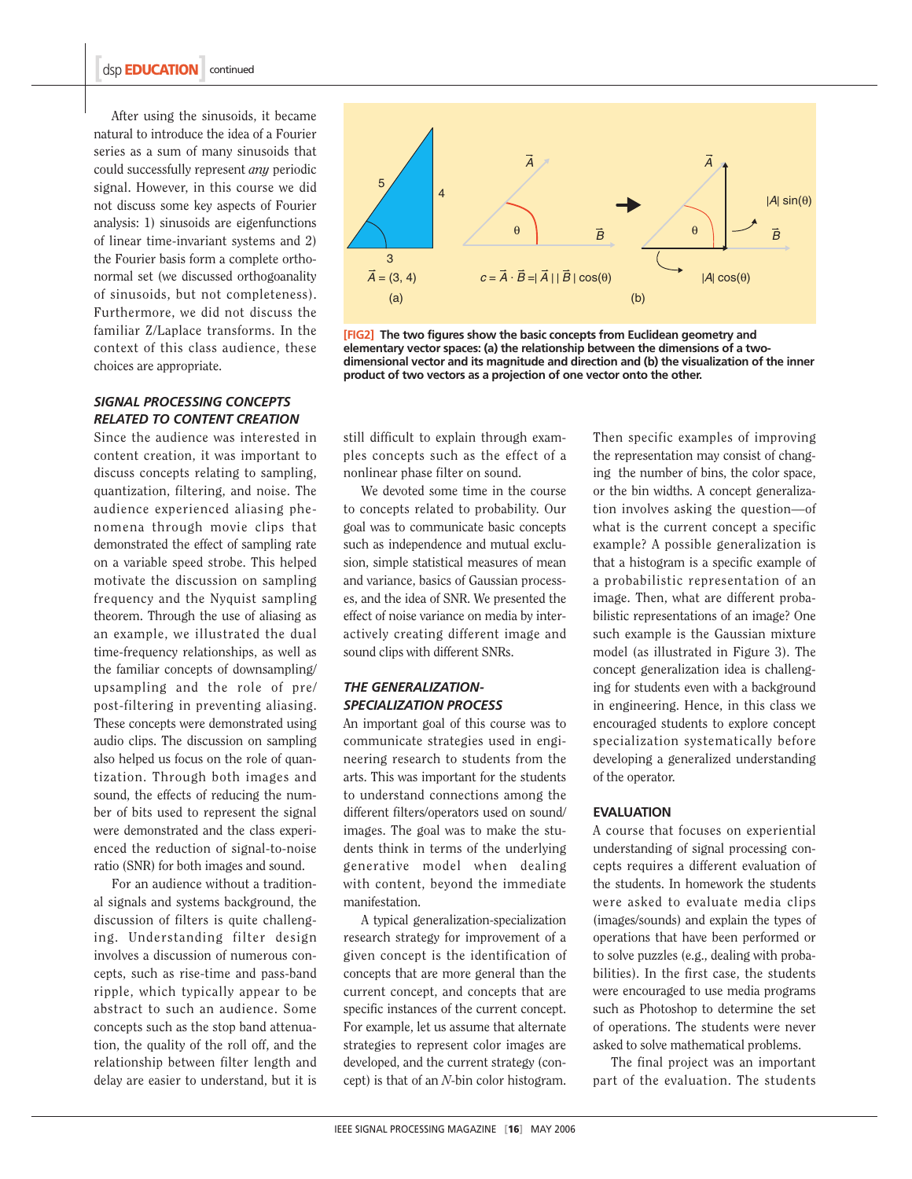# **[**dsp **EDUCATION]** continued

After using the sinusoids, it became natural to introduce the idea of a Fourier series as a sum of many sinusoids that could successfully represent *any* periodic signal. However, in this course we did not discuss some key aspects of Fourier analysis: 1) sinusoids are eigenfunctions of linear time-invariant systems and 2) the Fourier basis form a complete orthonormal set (we discussed orthogoanality of sinusoids, but not completeness). Furthermore, we did not discuss the familiar Z/Laplace transforms. In the context of this class audience, these choices are appropriate.

### *SIGNAL PROCESSING CONCEPTS RELATED TO CONTENT CREATION*

Since the audience was interested in content creation, it was important to discuss concepts relating to sampling, quantization, filtering, and noise. The audience experienced aliasing phenomena through movie clips that demonstrated the effect of sampling rate on a variable speed strobe. This helped motivate the discussion on sampling frequency and the Nyquist sampling theorem. Through the use of aliasing as an example, we illustrated the dual time-frequency relationships, as well as the familiar concepts of downsampling/ upsampling and the role of pre/ post-filtering in preventing aliasing. These concepts were demonstrated using audio clips. The discussion on sampling also helped us focus on the role of quantization. Through both images and sound, the effects of reducing the number of bits used to represent the signal were demonstrated and the class experienced the reduction of signal-to-noise ratio (SNR) for both images and sound.

For an audience without a traditional signals and systems background, the discussion of filters is quite challenging. Understanding filter design involves a discussion of numerous concepts, such as rise-time and pass-band ripple, which typically appear to be abstract to such an audience. Some concepts such as the stop band attenuation, the quality of the roll off, and the relationship between filter length and delay are easier to understand, but it is



**[FIG2] The two figures show the basic concepts from Euclidean geometry and elementary vector spaces: (a) the relationship between the dimensions of a twodimensional vector and its magnitude and direction and (b) the visualization of the inner product of two vectors as a projection of one vector onto the other.**

still difficult to explain through examples concepts such as the effect of a nonlinear phase filter on sound.

We devoted some time in the course to concepts related to probability. Our goal was to communicate basic concepts such as independence and mutual exclusion, simple statistical measures of mean and variance, basics of Gaussian processes, and the idea of SNR. We presented the effect of noise variance on media by interactively creating different image and sound clips with different SNRs.

#### *THE GENERALIZATION-SPECIALIZATION PROCESS*

An important goal of this course was to communicate strategies used in engineering research to students from the arts. This was important for the students to understand connections among the different filters/operators used on sound/ images. The goal was to make the students think in terms of the underlying generative model when dealing with content, beyond the immediate manifestation.

A typical generalization-specialization research strategy for improvement of a given concept is the identification of concepts that are more general than the current concept, and concepts that are specific instances of the current concept. For example, let us assume that alternate strategies to represent color images are developed, and the current strategy (concept) is that of an *N*-bin color histogram. Then specific examples of improving the representation may consist of changing the number of bins, the color space, or the bin widths. A concept generalization involves asking the question—of what is the current concept a specific example? A possible generalization is that a histogram is a specific example of a probabilistic representation of an image. Then, what are different probabilistic representations of an image? One such example is the Gaussian mixture model (as illustrated in Figure 3). The concept generalization idea is challenging for students even with a background in engineering. Hence, in this class we encouraged students to explore concept specialization systematically before developing a generalized understanding of the operator.

#### **EVALUATION**

A course that focuses on experiential understanding of signal processing concepts requires a different evaluation of the students. In homework the students were asked to evaluate media clips (images/sounds) and explain the types of operations that have been performed or to solve puzzles (e.g., dealing with probabilities). In the first case, the students were encouraged to use media programs such as Photoshop to determine the set of operations. The students were never asked to solve mathematical problems.

The final project was an important part of the evaluation. The students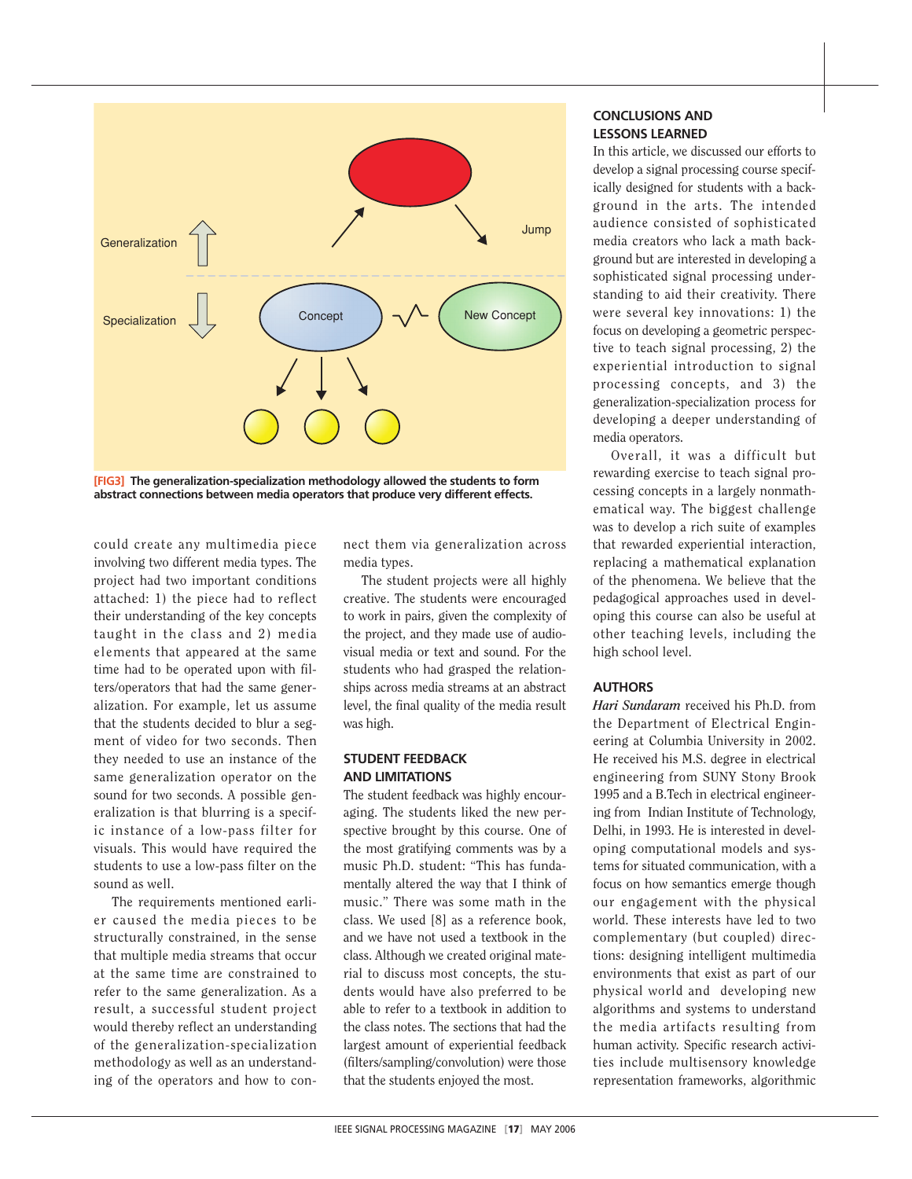

**[FIG3] The generalization-specialization methodology allowed the students to form abstract connections between media operators that produce very different effects.** 

could create any multimedia piece involving two different media types. The project had two important conditions attached: 1) the piece had to reflect their understanding of the key concepts taught in the class and 2) media elements that appeared at the same time had to be operated upon with filters/operators that had the same generalization. For example, let us assume that the students decided to blur a segment of video for two seconds. Then they needed to use an instance of the same generalization operator on the sound for two seconds. A possible generalization is that blurring is a specific instance of a low-pass filter for visuals. This would have required the students to use a low-pass filter on the sound as well.

The requirements mentioned earlier caused the media pieces to be structurally constrained, in the sense that multiple media streams that occur at the same time are constrained to refer to the same generalization. As a result, a successful student project would thereby reflect an understanding of the generalization-specialization methodology as well as an understanding of the operators and how to connect them via generalization across media types.

The student projects were all highly creative. The students were encouraged to work in pairs, given the complexity of the project, and they made use of audiovisual media or text and sound. For the students who had grasped the relationships across media streams at an abstract level, the final quality of the media result was high.

#### **STUDENT FEEDBACK AND LIMITATIONS**

The student feedback was highly encouraging. The students liked the new perspective brought by this course. One of the most gratifying comments was by a music Ph.D. student: "This has fundamentally altered the way that I think of music." There was some math in the class. We used [8] as a reference book, and we have not used a textbook in the class. Although we created original material to discuss most concepts, the students would have also preferred to be able to refer to a textbook in addition to the class notes. The sections that had the largest amount of experiential feedback (filters/sampling/convolution) were those that the students enjoyed the most.

# **CONCLUSIONS AND LESSONS LEARNED**

In this article, we discussed our efforts to develop a signal processing course specifically designed for students with a background in the arts. The intended audience consisted of sophisticated media creators who lack a math background but are interested in developing a sophisticated signal processing understanding to aid their creativity. There were several key innovations: 1) the focus on developing a geometric perspective to teach signal processing, 2) the experiential introduction to signal processing concepts, and 3) the generalization-specialization process for developing a deeper understanding of media operators.

Overall, it was a difficult but rewarding exercise to teach signal processing concepts in a largely nonmathematical way. The biggest challenge was to develop a rich suite of examples that rewarded experiential interaction, replacing a mathematical explanation of the phenomena. We believe that the pedagogical approaches used in developing this course can also be useful at other teaching levels, including the high school level.

# **AUTHORS**

*Hari Sundaram* received his Ph.D. from the Department of Electrical Engineering at Columbia University in 2002. He received his M.S. degree in electrical engineering from SUNY Stony Brook 1995 and a B.Tech in electrical engineering from Indian Institute of Technology, Delhi, in 1993. He is interested in developing computational models and systems for situated communication, with a focus on how semantics emerge though our engagement with the physical world. These interests have led to two complementary (but coupled) directions: designing intelligent multimedia environments that exist as part of our physical world and developing new algorithms and systems to understand the media artifacts resulting from human activity. Specific research activities include multisensory knowledge representation frameworks, algorithmic